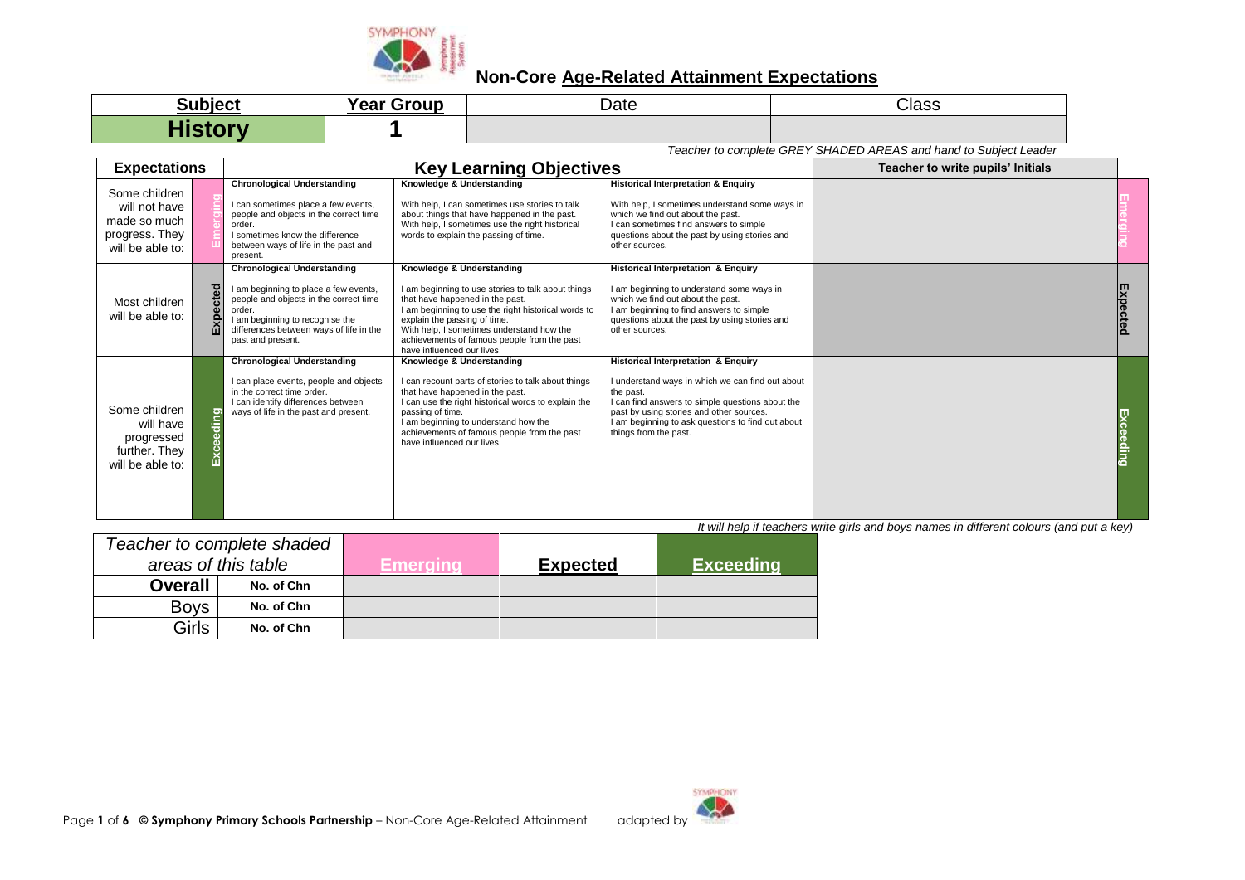

| <b>Subject</b> | --<br>Year<br>Groun | Date | Class |
|----------------|---------------------|------|-------|
| .              |                     |      |       |

*Teacher to complete GREY SHADED AREAS and hand to Subject Leader*

| <b>Expectations</b>                                                                  |                  |                                                                                                                                                                                                                                    | <b>Key Learning Objectives</b>                                                                                                                                                                                                                                                                                                      |                                                                                                                                                                                                                                                                                    | Teacher to write pupils' Initials |  |
|--------------------------------------------------------------------------------------|------------------|------------------------------------------------------------------------------------------------------------------------------------------------------------------------------------------------------------------------------------|-------------------------------------------------------------------------------------------------------------------------------------------------------------------------------------------------------------------------------------------------------------------------------------------------------------------------------------|------------------------------------------------------------------------------------------------------------------------------------------------------------------------------------------------------------------------------------------------------------------------------------|-----------------------------------|--|
| Some children<br>will not have<br>made so much<br>progress. They<br>will be able to: |                  | <b>Chronological Understanding</b><br>I can sometimes place a few events,<br>people and objects in the correct time<br>order.<br>I sometimes know the difference<br>between ways of life in the past and<br>present.               | Knowledge & Understanding<br>With help, I can sometimes use stories to talk<br>about things that have happened in the past.<br>With help, I sometimes use the right historical<br>words to explain the passing of time.                                                                                                             | <b>Historical Interpretation &amp; Enquiry</b><br>With help, I sometimes understand some ways in<br>which we find out about the past.<br>I can sometimes find answers to simple<br>questions about the past by using stories and<br>other sources.                                 |                                   |  |
| Most children<br>will be able to:                                                    | <b>Ted</b><br>άĭ | <b>Chronological Understanding</b><br>I am beginning to place a few events,<br>people and objects in the correct time<br>order.<br>I am beginning to recognise the<br>differences between ways of life in the<br>past and present. | Knowledge & Understanding<br>I am beginning to use stories to talk about things<br>that have happened in the past.<br>I am beginning to use the right historical words to<br>explain the passing of time.<br>With help, I sometimes understand how the<br>achievements of famous people from the past<br>have influenced our lives. | Historical Interpretation & Enquiry<br>I am beginning to understand some ways in<br>which we find out about the past.<br>I am beginning to find answers to simple<br>questions about the past by using stories and<br>other sources.                                               |                                   |  |
| Some children<br>will have<br>progressed<br>further. They<br>will be able to:        | ō                | <b>Chronological Understanding</b><br>I can place events, people and objects<br>in the correct time order.<br>I can identify differences between<br>ways of life in the past and present.                                          | Knowledge & Understanding<br>I can recount parts of stories to talk about things<br>that have happened in the past.<br>I can use the right historical words to explain the<br>passing of time.<br>I am beginning to understand how the<br>achievements of famous people from the past<br>have influenced our lives.                 | Historical Interpretation & Enquiry<br>I understand ways in which we can find out about<br>the past.<br>I can find answers to simple questions about the<br>past by using stories and other sources.<br>I am beginning to ask questions to find out about<br>things from the past. |                                   |  |

|                     |                | Teacher to complete shaded |                 |                  |  |
|---------------------|----------------|----------------------------|-----------------|------------------|--|
| areas of this table |                | Emeraina                   | <b>Expected</b> | <b>Exceeding</b> |  |
|                     | <b>Overall</b> | No. of Chn                 |                 |                  |  |
|                     | <b>Boys</b>    | No. of Chn                 |                 |                  |  |
|                     | Girls          | No. of Chn                 |                 |                  |  |

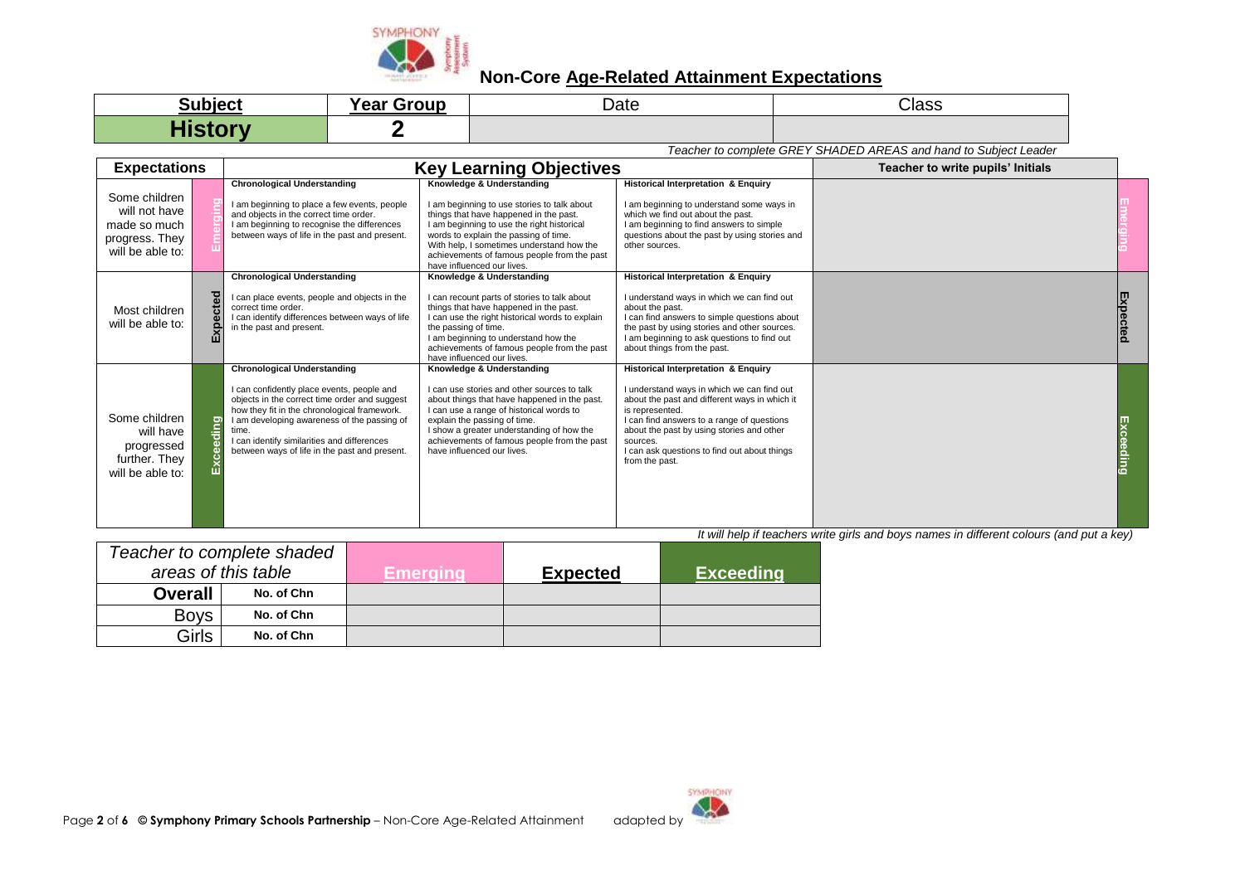

| <b>Subject</b>                  | <b>Year Group</b> | Date | <b>Class</b> |
|---------------------------------|-------------------|------|--------------|
| $\blacksquare$<br><b>AISLUM</b> |                   |      |              |

*Teacher to complete GREY SHADED AREAS and hand to Subject Leader*

| <b>Expectations</b>                                                                  |            |                                                                                                                                                                                                                                                                                                                                           | <b>Key Learning Objectives</b>                                                                                                                                                                                                                                                                                                      |                                                                                                                                                                                                                                                                                                                                | Teacher to write pupils' Initials |  |
|--------------------------------------------------------------------------------------|------------|-------------------------------------------------------------------------------------------------------------------------------------------------------------------------------------------------------------------------------------------------------------------------------------------------------------------------------------------|-------------------------------------------------------------------------------------------------------------------------------------------------------------------------------------------------------------------------------------------------------------------------------------------------------------------------------------|--------------------------------------------------------------------------------------------------------------------------------------------------------------------------------------------------------------------------------------------------------------------------------------------------------------------------------|-----------------------------------|--|
| Some children<br>will not have<br>made so much<br>progress. They<br>will be able to: |            | <b>Chronological Understanding</b><br>I am beginning to place a few events, people<br>and objects in the correct time order.<br>I am beginning to recognise the differences<br>between ways of life in the past and present.                                                                                                              | Knowledge & Understanding<br>I am beginning to use stories to talk about<br>things that have happened in the past.<br>I am beginning to use the right historical<br>words to explain the passing of time.<br>With help, I sometimes understand how the<br>achievements of famous people from the past<br>have influenced our lives. | Historical Interpretation & Enquiry<br>I am beginning to understand some ways in<br>which we find out about the past.<br>I am beginning to find answers to simple<br>questions about the past by using stories and<br>other sources.                                                                                           |                                   |  |
| Most children<br>will be able to:                                                    | ected<br>ш | <b>Chronological Understanding</b><br>I can place events, people and objects in the<br>correct time order.<br>I can identify differences between ways of life<br>in the past and present.                                                                                                                                                 | Knowledge & Understanding<br>I can recount parts of stories to talk about<br>things that have happened in the past.<br>I can use the right historical words to explain<br>the passing of time.<br>I am beginning to understand how the<br>achievements of famous people from the past<br>have influenced our lives.                 | <b>Historical Interpretation &amp; Enquiry</b><br>I understand ways in which we can find out<br>about the past.<br>I can find answers to simple questions about<br>the past by using stories and other sources.<br>I am beginning to ask questions to find out<br>about things from the past.                                  |                                   |  |
| Some children<br>will have<br>progressed<br>further. They<br>will be able to:        | ling<br>ē  | <b>Chronological Understanding</b><br>I can confidently place events, people and<br>objects in the correct time order and suggest<br>how they fit in the chronological framework.<br>I am developing awareness of the passing of<br>time.<br>I can identify similarities and differences<br>between ways of life in the past and present. | Knowledge & Understanding<br>I can use stories and other sources to talk<br>about things that have happened in the past.<br>I can use a range of historical words to<br>explain the passing of time.<br>I show a greater understanding of how the<br>achievements of famous people from the past<br>have influenced our lives.      | Historical Interpretation & Enquiry<br>I understand ways in which we can find out<br>about the past and different ways in which it<br>is represented.<br>I can find answers to a range of questions<br>about the past by using stories and other<br>sources.<br>I can ask questions to find out about things<br>from the past. |                                   |  |

|                     | Teacher to complete shaded |            |                 |                  |
|---------------------|----------------------------|------------|-----------------|------------------|
| areas of this table |                            | ∕±merqınd∡ | <b>Expected</b> | <b>Exceeding</b> |
| <b>Overall</b>      | No. of Chn                 |            |                 |                  |
| <b>Boys</b>         | No. of Chn                 |            |                 |                  |
| Girls               | No. of Chn                 |            |                 |                  |

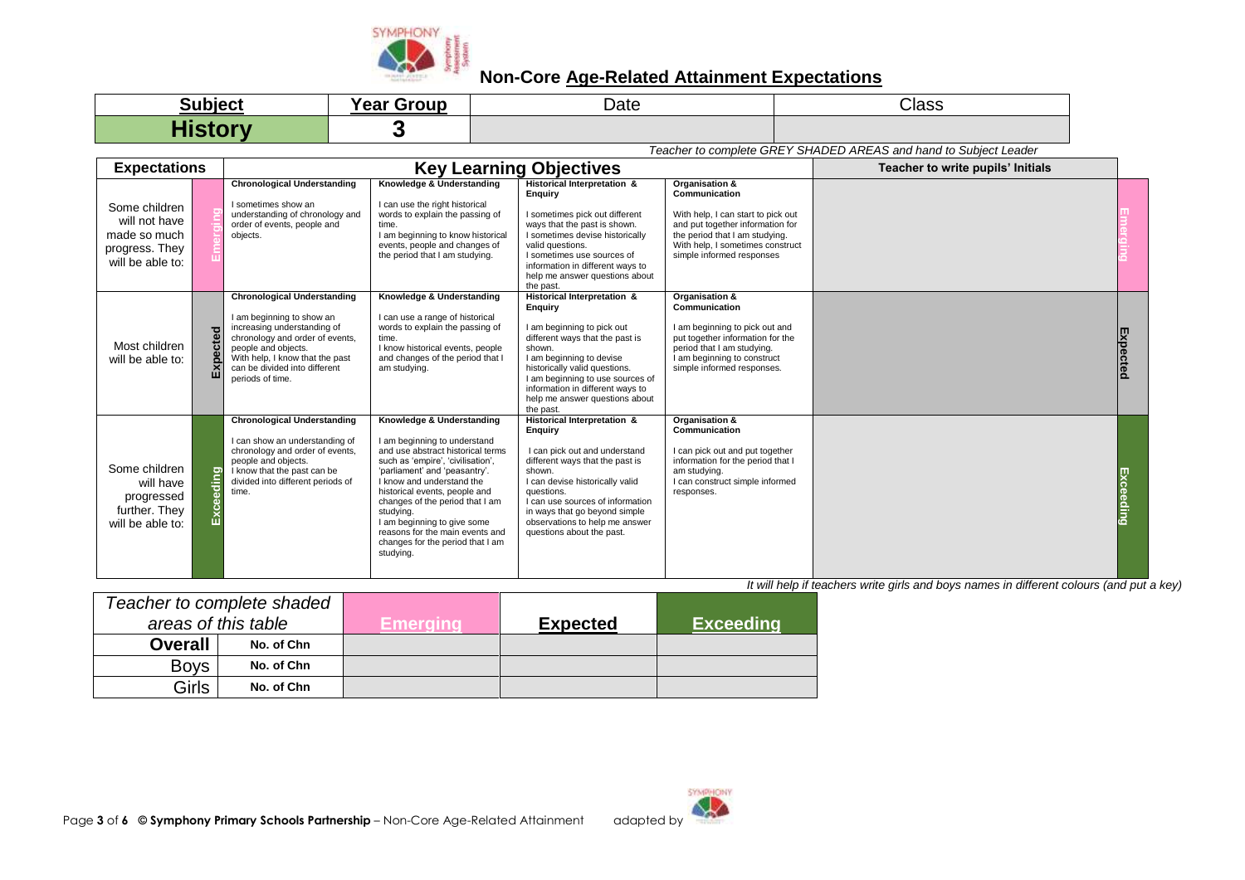

| <b>Subject</b> | <b>Year Group</b> | Date | <b>Class</b> |
|----------------|-------------------|------|--------------|
| <b>History</b> |                   |      |              |

*Teacher to complete GREY SHADED AREAS and hand to Subject Leader*

| <b>Expectations</b>                                                                  |                  |                                                                                                                                                                                                                                                  |                                                                                                                                                                                                                                                                                                                                                                                                       | <b>Key Learning Objectives</b>                                                                                                                                                                                                                                                                                   |                                                                                                                                                                                                              | Teacher to write pupils' Initials |           |
|--------------------------------------------------------------------------------------|------------------|--------------------------------------------------------------------------------------------------------------------------------------------------------------------------------------------------------------------------------------------------|-------------------------------------------------------------------------------------------------------------------------------------------------------------------------------------------------------------------------------------------------------------------------------------------------------------------------------------------------------------------------------------------------------|------------------------------------------------------------------------------------------------------------------------------------------------------------------------------------------------------------------------------------------------------------------------------------------------------------------|--------------------------------------------------------------------------------------------------------------------------------------------------------------------------------------------------------------|-----------------------------------|-----------|
| Some children<br>will not have<br>made so much<br>progress. They<br>will be able to: |                  | <b>Chronological Understanding</b><br>I sometimes show an<br>understanding of chronology and<br>order of events, people and<br>objects.                                                                                                          | Knowledge & Understanding<br>I can use the right historical<br>words to explain the passing of<br>time.<br>I am beginning to know historical<br>events, people and changes of<br>the period that I am studying.                                                                                                                                                                                       | Historical Interpretation &<br>Enguiry<br>I sometimes pick out different<br>ways that the past is shown.<br>I sometimes devise historically<br>valid questions.<br>I sometimes use sources of<br>information in different ways to<br>help me answer questions about<br>the past.                                 | Organisation &<br>Communication<br>With help, I can start to pick out<br>and put together information for<br>the period that I am studying.<br>With help, I sometimes construct<br>simple informed responses |                                   |           |
| Most children<br>will be able to:                                                    | pected<br>Εx     | <b>Chronological Understanding</b><br>I am beginning to show an<br>increasing understanding of<br>chronology and order of events,<br>people and objects.<br>With help, I know that the past<br>can be divided into different<br>periods of time. | Knowledge & Understanding<br>I can use a range of historical<br>words to explain the passing of<br>time.<br>I know historical events, people<br>and changes of the period that I<br>am studying.                                                                                                                                                                                                      | Historical Interpretation &<br>Enguiry<br>I am beginning to pick out<br>different ways that the past is<br>shown.<br>I am beginning to devise<br>historically valid questions.<br>I am beginning to use sources of<br>information in different ways to<br>help me answer questions about<br>the past.            | Organisation &<br>Communication<br>I am beginning to pick out and<br>put together information for the<br>period that I am studying.<br>I am beginning to construct<br>simple informed responses.             |                                   | Expected  |
| Some children<br>will have<br>progressed<br>further. They<br>will be able to:        | <u>Exceeding</u> | <b>Chronological Understanding</b><br>I can show an understanding of<br>chronology and order of events,<br>people and objects.<br>I know that the past can be<br>divided into different periods of<br>time.                                      | Knowledge & Understanding<br>I am beginning to understand<br>and use abstract historical terms<br>such as 'empire', 'civilisation',<br>'parliament' and 'peasantry'.<br>I know and understand the<br>historical events, people and<br>changes of the period that I am<br>studying.<br>I am beginning to give some<br>reasons for the main events and<br>changes for the period that I am<br>studying. | Historical Interpretation &<br><b>Enquiry</b><br>I can pick out and understand<br>different ways that the past is<br>shown.<br>I can devise historically valid<br>questions.<br>I can use sources of information<br>in ways that go beyond simple<br>observations to help me answer<br>questions about the past. | Organisation &<br>Communication<br>I can pick out and put together<br>information for the period that I<br>am studying.<br>I can construct simple informed<br>responses.                                     |                                   | Exceeding |

|                     | Teacher to complete shaded |                 |                 |                  |
|---------------------|----------------------------|-----------------|-----------------|------------------|
| areas of this table |                            | <b>Emerging</b> | <b>Expected</b> | <b>Exceeding</b> |
| <b>Overall</b>      | No. of Chn                 |                 |                 |                  |
| <b>Boys</b>         | No. of Chn                 |                 |                 |                  |
| <b>Girls</b>        | No. of Chn                 |                 |                 |                  |

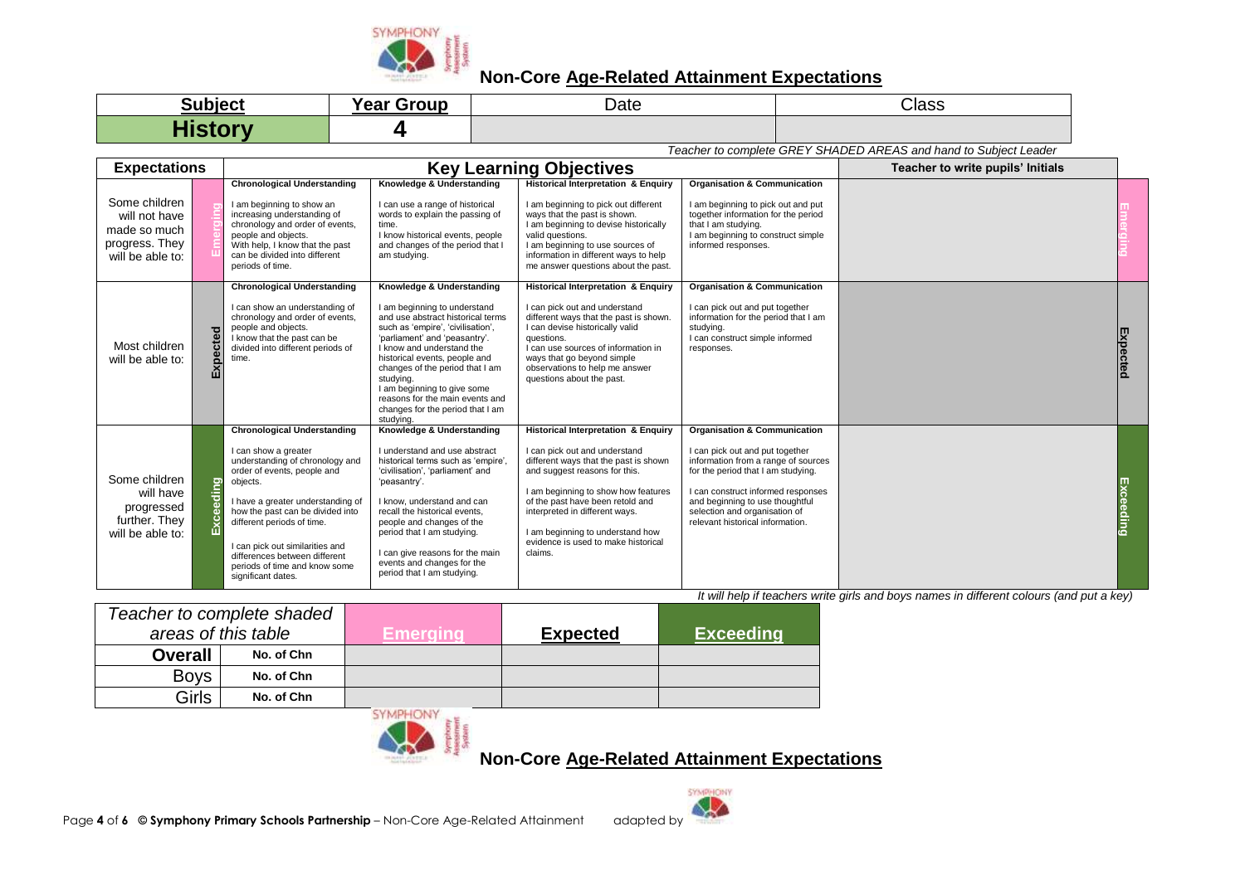

| <b>Subject</b>    | $\blacksquare$<br><b>Year Group</b> | Date | Class |
|-------------------|-------------------------------------|------|-------|
| <b>The Common</b> |                                     |      |       |

*Teacher to complete GREY SHADED AREAS and hand to Subject Leader*

| <b>Expectations</b>                                                                  |                 |                                                                                                                                                                                                                                                                                                                                                                            |                                                                                                                                                                                                                                                                                                                                                                                                       | <b>Key Learning Objectives</b>                                                                                                                                                                                                                                                                                                                               |                                                                                                                                                                                                                                                                                                       | Teacher to write pupils' Initials |             |
|--------------------------------------------------------------------------------------|-----------------|----------------------------------------------------------------------------------------------------------------------------------------------------------------------------------------------------------------------------------------------------------------------------------------------------------------------------------------------------------------------------|-------------------------------------------------------------------------------------------------------------------------------------------------------------------------------------------------------------------------------------------------------------------------------------------------------------------------------------------------------------------------------------------------------|--------------------------------------------------------------------------------------------------------------------------------------------------------------------------------------------------------------------------------------------------------------------------------------------------------------------------------------------------------------|-------------------------------------------------------------------------------------------------------------------------------------------------------------------------------------------------------------------------------------------------------------------------------------------------------|-----------------------------------|-------------|
| Some children<br>will not have<br>made so much<br>progress. They<br>will be able to: |                 | <b>Chronological Understanding</b><br>I am beginning to show an<br>increasing understanding of<br>chronology and order of events,<br>people and objects.<br>With help, I know that the past<br>can be divided into different<br>periods of time.                                                                                                                           | Knowledge & Understanding<br>I can use a range of historical<br>words to explain the passing of<br>time.<br>I know historical events, people<br>and changes of the period that I<br>am studying.                                                                                                                                                                                                      | <b>Historical Interpretation &amp; Enquiry</b><br>I am beginning to pick out different<br>ways that the past is shown.<br>I am beginning to devise historically<br>valid questions.<br>I am beginning to use sources of<br>information in different ways to help<br>me answer questions about the past.                                                      | <b>Organisation &amp; Communication</b><br>I am beginning to pick out and put<br>together information for the period<br>that I am studying.<br>I am beginning to construct simple<br>informed responses.                                                                                              |                                   |             |
| Most children<br>will be able to:                                                    | pected<br>囚     | <b>Chronological Understanding</b><br>I can show an understanding of<br>chronology and order of events.<br>people and objects.<br>I know that the past can be<br>divided into different periods of<br>time.                                                                                                                                                                | Knowledge & Understanding<br>I am beginning to understand<br>and use abstract historical terms<br>such as 'empire', 'civilisation',<br>'parliament' and 'peasantry'.<br>I know and understand the<br>historical events, people and<br>changes of the period that I am<br>studying.<br>I am beginning to give some<br>reasons for the main events and<br>changes for the period that I am<br>studying. | <b>Historical Interpretation &amp; Enquiry</b><br>I can pick out and understand<br>different ways that the past is shown.<br>I can devise historically valid<br>questions.<br>I can use sources of information in<br>ways that go beyond simple<br>observations to help me answer<br>questions about the past.                                               | <b>Organisation &amp; Communication</b><br>I can pick out and put together<br>information for the period that I am<br>studying.<br>I can construct simple informed<br>responses.                                                                                                                      |                                   | 吋<br>pectec |
| Some children<br>will have<br>progressed<br>further. They<br>will be able to:        | ding<br>£<br>மி | <b>Chronological Understanding</b><br>I can show a greater<br>understanding of chronology and<br>order of events, people and<br>objects.<br>I have a greater understanding of<br>how the past can be divided into<br>different periods of time.<br>I can pick out similarities and<br>differences between different<br>periods of time and know some<br>significant dates. | Knowledge & Understanding<br>I understand and use abstract<br>historical terms such as 'empire',<br>'civilisation', 'parliament' and<br>'peasantry'.<br>I know, understand and can<br>recall the historical events.<br>people and changes of the<br>period that I am studying.<br>I can give reasons for the main<br>events and changes for the<br>period that I am studying.                         | <b>Historical Interpretation &amp; Enquiry</b><br>I can pick out and understand<br>different ways that the past is shown<br>and suggest reasons for this.<br>I am beginning to show how features<br>of the past have been retold and<br>interpreted in different ways.<br>I am beginning to understand how<br>evidence is used to make historical<br>claims. | <b>Organisation &amp; Communication</b><br>I can pick out and put together<br>information from a range of sources<br>for the period that I am studying.<br>I can construct informed responses<br>and beginning to use thoughtful<br>selection and organisation of<br>relevant historical information. |                                   | Excee       |

*It will help if teachers write girls and boys names in different colours (and put a key)*

|                     | Teacher to complete shaded |                                         |                 |                  |
|---------------------|----------------------------|-----------------------------------------|-----------------|------------------|
| areas of this table |                            | Emeraina                                | <b>Expected</b> | <b>Exceeding</b> |
| <b>Overall</b>      | No. of Chn                 |                                         |                 |                  |
| <b>Boys</b>         | No. of Chn                 |                                         |                 |                  |
| Girls               | No. of Chn                 |                                         |                 |                  |
|                     |                            | <b>CONTRACTOR COMPANY REAL PROPERTY</b> |                 |                  |



**Non-Core Age-Related Attainment Expectations**

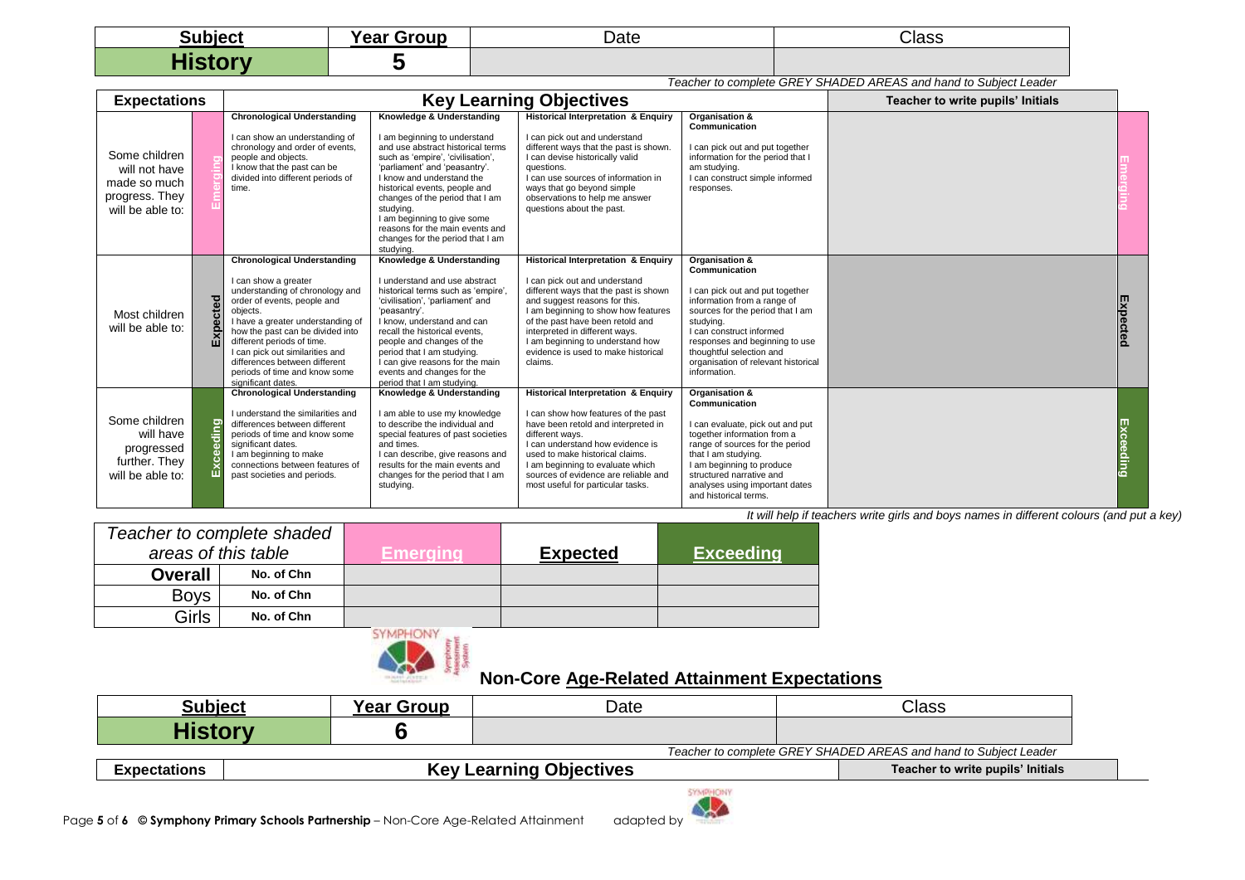| <b>Subject</b>                         | $\blacksquare$<br><b>Year Group</b> | Date | Class |
|----------------------------------------|-------------------------------------|------|-------|
| <b>The Company's Company's Company</b> |                                     |      |       |

|                                                                                      | Teacher to complete GREY SHADED AREAS and hand to Subject Leader |                                                                                                                                                                                                                                                                                                                                                                            |                                                                                                                                                                                                                                                                                                                                                                                                       |                                                                                                                                                                                                                                                                                                                                                              |                                                                                                                                                                                                                                                                                                     |  |           |  |
|--------------------------------------------------------------------------------------|------------------------------------------------------------------|----------------------------------------------------------------------------------------------------------------------------------------------------------------------------------------------------------------------------------------------------------------------------------------------------------------------------------------------------------------------------|-------------------------------------------------------------------------------------------------------------------------------------------------------------------------------------------------------------------------------------------------------------------------------------------------------------------------------------------------------------------------------------------------------|--------------------------------------------------------------------------------------------------------------------------------------------------------------------------------------------------------------------------------------------------------------------------------------------------------------------------------------------------------------|-----------------------------------------------------------------------------------------------------------------------------------------------------------------------------------------------------------------------------------------------------------------------------------------------------|--|-----------|--|
| <b>Expectations</b>                                                                  |                                                                  |                                                                                                                                                                                                                                                                                                                                                                            | <b>Key Learning Objectives</b>                                                                                                                                                                                                                                                                                                                                                                        | Teacher to write pupils' Initials                                                                                                                                                                                                                                                                                                                            |                                                                                                                                                                                                                                                                                                     |  |           |  |
| Some children<br>will not have<br>made so much<br>progress. They<br>will be able to: |                                                                  | <b>Chronological Understanding</b><br>I can show an understanding of<br>chronology and order of events,<br>people and objects.<br>I know that the past can be<br>divided into different periods of<br>time.                                                                                                                                                                | Knowledge & Understanding<br>I am beginning to understand<br>and use abstract historical terms<br>such as 'empire', 'civilisation',<br>'parliament' and 'peasantry'.<br>I know and understand the<br>historical events, people and<br>changes of the period that I am<br>studying.<br>I am beginning to give some<br>reasons for the main events and<br>changes for the period that I am<br>studying. | <b>Historical Interpretation &amp; Enquiry</b><br>I can pick out and understand<br>different ways that the past is shown.<br>I can devise historically valid<br>questions.<br>I can use sources of information in<br>ways that go beyond simple<br>observations to help me answer<br>questions about the past.                                               | Organisation &<br>Communication<br>I can pick out and put together<br>information for the period that I<br>am studying.<br>I can construct simple informed<br>responses.                                                                                                                            |  |           |  |
| Most children<br>will be able to:                                                    | cted<br>Expeo                                                    | <b>Chronological Understanding</b><br>I can show a greater<br>understanding of chronology and<br>order of events, people and<br>objects.<br>I have a greater understanding of<br>how the past can be divided into<br>different periods of time.<br>I can pick out similarities and<br>differences between different<br>periods of time and know some<br>significant dates. | Knowledge & Understanding<br>I understand and use abstract<br>historical terms such as 'empire'.<br>'civilisation', 'parliament' and<br>'peasantry'.<br>I know, understand and can<br>recall the historical events.<br>people and changes of the<br>period that I am studying.<br>I can give reasons for the main<br>events and changes for the<br>period that I am studying.                         | <b>Historical Interpretation &amp; Enquiry</b><br>I can pick out and understand<br>different ways that the past is shown<br>and suggest reasons for this.<br>I am beginning to show how features<br>of the past have been retold and<br>interpreted in different ways.<br>I am beginning to understand how<br>evidence is used to make historical<br>claims. | Organisation &<br>Communication<br>I can pick out and put together<br>information from a range of<br>sources for the period that I am<br>studying.<br>I can construct informed<br>responses and beginning to use<br>thoughtful selection and<br>organisation of relevant historical<br>information. |  | Expected  |  |
| Some children<br>will have<br>progressed<br>further. They<br>will be able to:        | eding<br>Exc                                                     | <b>Chronological Understanding</b><br>I understand the similarities and<br>differences between different<br>periods of time and know some<br>significant dates.<br>I am beginning to make<br>connections between features of<br>past societies and periods.                                                                                                                | Knowledge & Understanding<br>I am able to use my knowledge<br>to describe the individual and<br>special features of past societies<br>and times.<br>I can describe, give reasons and<br>results for the main events and<br>changes for the period that I am<br>studying.                                                                                                                              | <b>Historical Interpretation &amp; Enquiry</b><br>I can show how features of the past<br>have been retold and interpreted in<br>different ways.<br>I can understand how evidence is<br>used to make historical claims.<br>I am beginning to evaluate which<br>sources of evidence are reliable and<br>most useful for particular tasks.                      | Organisation &<br>Communication<br>can evaluate, pick out and put<br>together information from a<br>range of sources for the period<br>that I am studying.<br>I am beginning to produce<br>structured narrative and<br>analyses using important dates<br>and historical terms.                      |  | Exceeding |  |

*It will help if teachers write girls and boys names in different colours (and put a key)*

| Teacher to complete shaded |            |                                       |                 |                  |
|----------------------------|------------|---------------------------------------|-----------------|------------------|
| areas of this table        |            | Emeraina                              | <b>Expected</b> | <b>Exceeding</b> |
| <b>Overall</b>             | No. of Chn |                                       |                 |                  |
| <b>Boys</b>                | No. of Chn |                                       |                 |                  |
| <b>Girls</b>               | No. of Chn |                                       |                 |                  |
|                            |            | <b>CONTRACTOR</b> AND A REAL PROPERTY |                 |                  |



# **Non-Core Age-Related Attainment Expectations**

| <b>Subject</b>                                                   |  | <b>Year Group</b> | Date                           | Class                             |  |
|------------------------------------------------------------------|--|-------------------|--------------------------------|-----------------------------------|--|
| History                                                          |  |                   |                                |                                   |  |
| Teacher to complete GREY SHADED AREAS and hand to Subject Leader |  |                   |                                |                                   |  |
| <b>Expectations</b>                                              |  |                   | <b>Key Learning Objectives</b> | Teacher to write pupils' Initials |  |